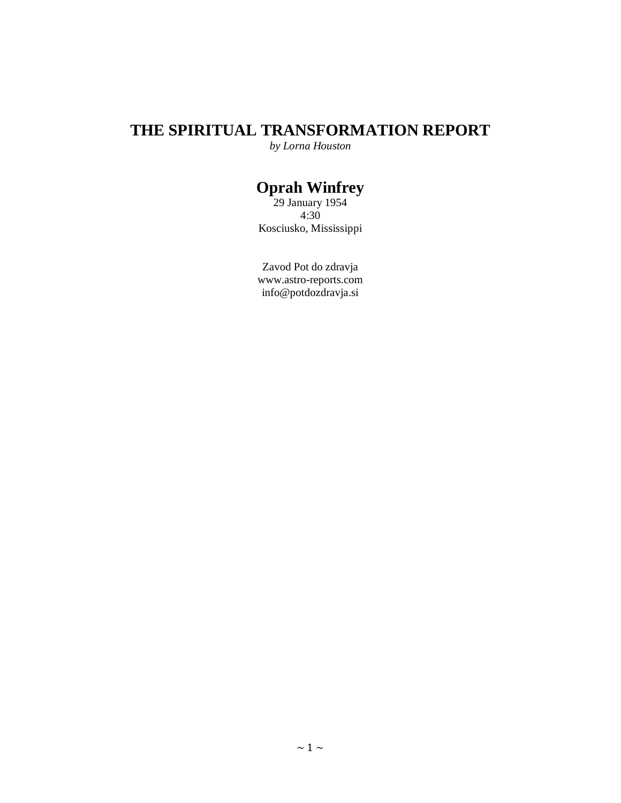## **THE SPIRITUAL TRANSFORMATION REPORT**

*by Lorna Houston*

## **Oprah Winfrey**

29 January 1954 4:30 Kosciusko, Mississippi

Zavod Pot do zdravja <www.astro-reports.com> info@potdozdravja.si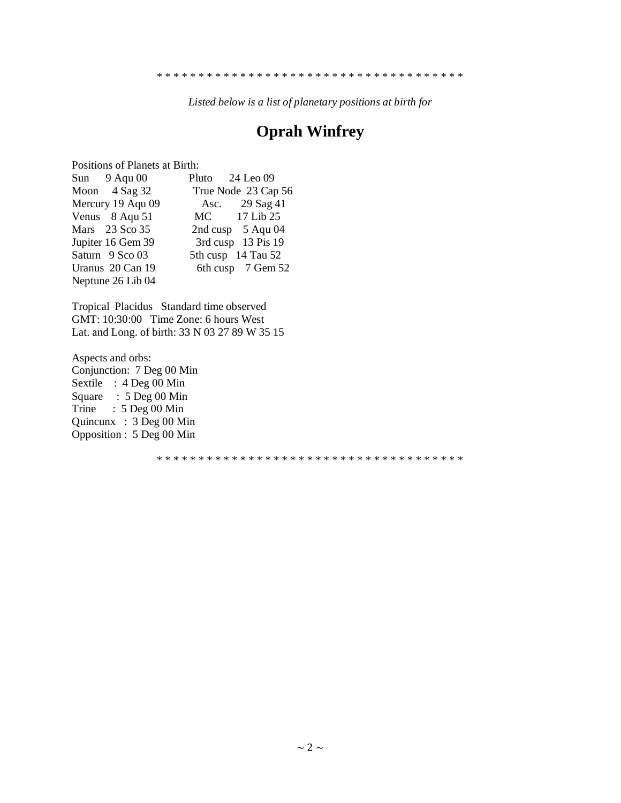*Listed below is a list of planetary positions at birth for*

# **Oprah Winfrey**

Positions of Planets at Birth:

| True Node 23 Cap 56<br>Asc. 29 Sag 41<br>MC 17 Lib 25<br>2nd cusp $5$ Aqu 04<br>3rd cusp 13 Pis 19<br>5th cusp 14 Tau 52<br>6th cusp 7 Gem 52 | Sun $9$ Aqu 00    | Pluto 24 Leo 09 |
|-----------------------------------------------------------------------------------------------------------------------------------------------|-------------------|-----------------|
|                                                                                                                                               | Moon $4$ Sag 32   |                 |
|                                                                                                                                               | Mercury 19 Aqu 09 |                 |
|                                                                                                                                               | Venus 8 Aqu 51    |                 |
|                                                                                                                                               | Mars 23 Sco 35    |                 |
|                                                                                                                                               | Jupiter 16 Gem 39 |                 |
|                                                                                                                                               | Saturn 9 Sco 03   |                 |
|                                                                                                                                               | Uranus 20 Can 19  |                 |
|                                                                                                                                               | Neptune 26 Lib 04 |                 |

Tropical Placidus Standard time observed GMT: 10:30:00 Time Zone: 6 hours West Lat. and Long. of birth: 33 N 03 27 89 W 35 15

Aspects and orbs: Conjunction: 7 Deg 00 Min Sextile : 4 Deg 00 Min Square : 5 Deg 00 Min Trine :  $5 \text{ Deg } 00 \text{ Min}$ Quincunx : 3 Deg 00 Min Opposition : 5 Deg 00 Min

\* \* \* \* \* \* \* \* \* \* \* \* \* \* \* \* \* \* \* \* \* \* \* \* \* \* \* \* \* \* \* \* \* \* \* \* \*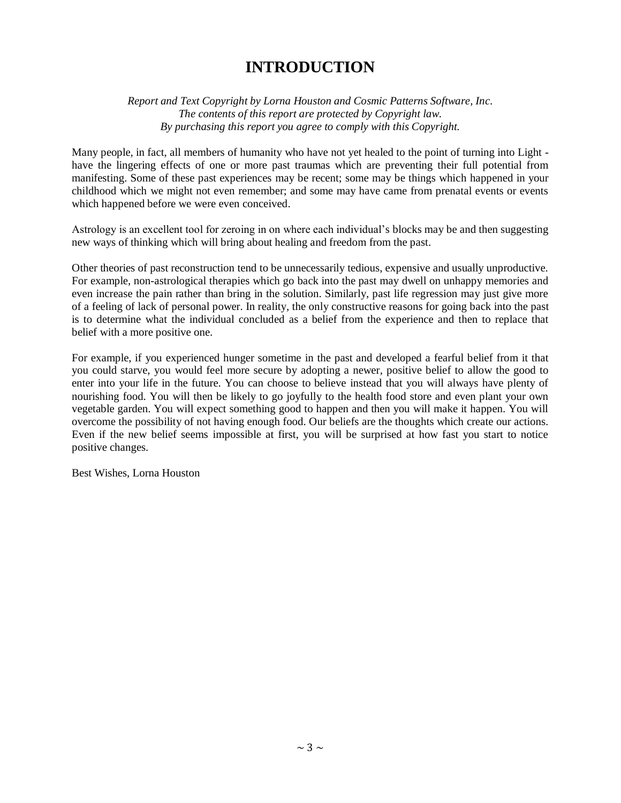## **INTRODUCTION**

*Report and Text Copyright by Lorna Houston and Cosmic Patterns Software, Inc. The contents of this report are protected by Copyright law. By purchasing this report you agree to comply with this Copyright.*

Many people, in fact, all members of humanity who have not yet healed to the point of turning into Light have the lingering effects of one or more past traumas which are preventing their full potential from manifesting. Some of these past experiences may be recent; some may be things which happened in your childhood which we might not even remember; and some may have came from prenatal events or events which happened before we were even conceived.

Astrology is an excellent tool for zeroing in on where each individual's blocks may be and then suggesting new ways of thinking which will bring about healing and freedom from the past.

Other theories of past reconstruction tend to be unnecessarily tedious, expensive and usually unproductive. For example, non-astrological therapies which go back into the past may dwell on unhappy memories and even increase the pain rather than bring in the solution. Similarly, past life regression may just give more of a feeling of lack of personal power. In reality, the only constructive reasons for going back into the past is to determine what the individual concluded as a belief from the experience and then to replace that belief with a more positive one.

For example, if you experienced hunger sometime in the past and developed a fearful belief from it that you could starve, you would feel more secure by adopting a newer, positive belief to allow the good to enter into your life in the future. You can choose to believe instead that you will always have plenty of nourishing food. You will then be likely to go joyfully to the health food store and even plant your own vegetable garden. You will expect something good to happen and then you will make it happen. You will overcome the possibility of not having enough food. Our beliefs are the thoughts which create our actions. Even if the new belief seems impossible at first, you will be surprised at how fast you start to notice positive changes.

Best Wishes, Lorna Houston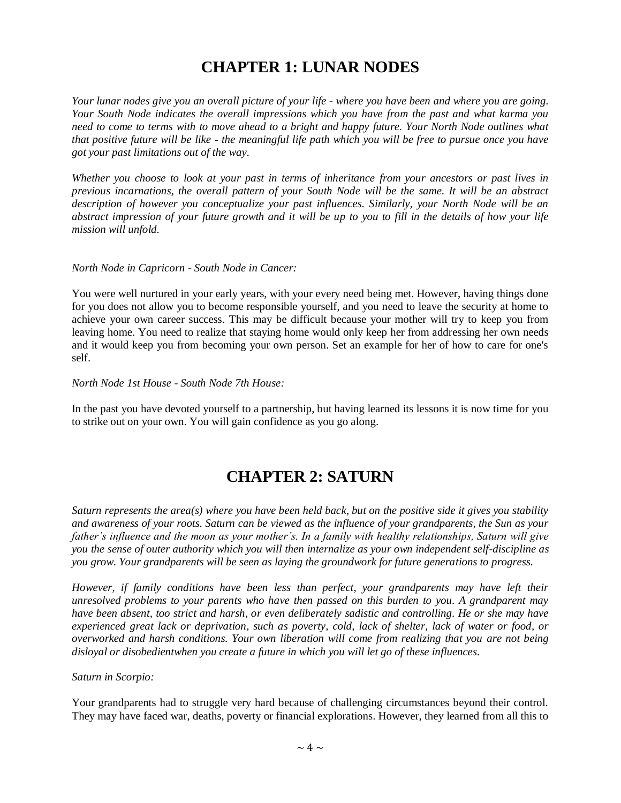# **CHAPTER 1: LUNAR NODES**

*Your lunar nodes give you an overall picture of your life - where you have been and where you are going. Your South Node indicates the overall impressions which you have from the past and what karma you need to come to terms with to move ahead to a bright and happy future. Your North Node outlines what that positive future will be like - the meaningful life path which you will be free to pursue once you have got your past limitations out of the way.*

*Whether you choose to look at your past in terms of inheritance from your ancestors or past lives in previous incarnations, the overall pattern of your South Node will be the same. It will be an abstract description of however you conceptualize your past influences. Similarly, your North Node will be an abstract impression of your future growth and it will be up to you to fill in the details of how your life mission will unfold.*

#### *North Node in Capricorn - South Node in Cancer:*

You were well nurtured in your early years, with your every need being met. However, having things done for you does not allow you to become responsible yourself, and you need to leave the security at home to achieve your own career success. This may be difficult because your mother will try to keep you from leaving home. You need to realize that staying home would only keep her from addressing her own needs and it would keep you from becoming your own person. Set an example for her of how to care for one's self.

#### *North Node 1st House - South Node 7th House:*

In the past you have devoted yourself to a partnership, but having learned its lessons it is now time for you to strike out on your own. You will gain confidence as you go along.

## **CHAPTER 2: SATURN**

*Saturn represents the area(s) where you have been held back, but on the positive side it gives you stability and awareness of your roots. Saturn can be viewed as the influence of your grandparents, the Sun as your father's influence and the moon as your mother's. In a family with healthy relationships, Saturn will give you the sense of outer authority which you will then internalize as your own independent self-discipline as you grow. Your grandparents will be seen as laying the groundwork for future generations to progress.*

*However, if family conditions have been less than perfect, your grandparents may have left their unresolved problems to your parents who have then passed on this burden to you. A grandparent may have been absent, too strict and harsh, or even deliberately sadistic and controlling. He or she may have experienced great lack or deprivation, such as poverty, cold, lack of shelter, lack of water or food, or overworked and harsh conditions. Your own liberation will come from realizing that you are not being disloyal or disobedientwhen you create a future in which you will let go of these influences.*

#### *Saturn in Scorpio:*

Your grandparents had to struggle very hard because of challenging circumstances beyond their control. They may have faced war, deaths, poverty or financial explorations. However, they learned from all this to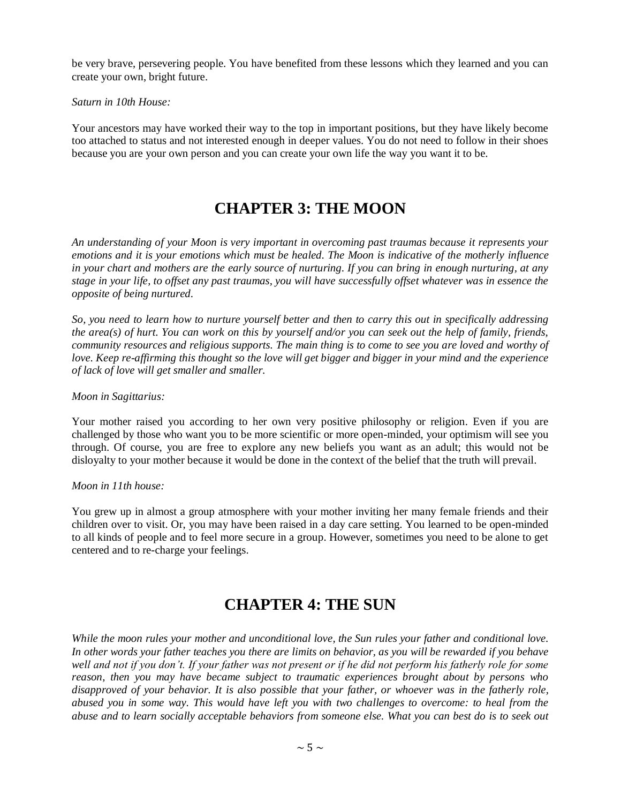be very brave, persevering people. You have benefited from these lessons which they learned and you can create your own, bright future.

#### *Saturn in 10th House:*

Your ancestors may have worked their way to the top in important positions, but they have likely become too attached to status and not interested enough in deeper values. You do not need to follow in their shoes because you are your own person and you can create your own life the way you want it to be.

## **CHAPTER 3: THE MOON**

*An understanding of your Moon is very important in overcoming past traumas because it represents your emotions and it is your emotions which must be healed. The Moon is indicative of the motherly influence in your chart and mothers are the early source of nurturing. If you can bring in enough nurturing, at any stage in your life, to offset any past traumas, you will have successfully offset whatever was in essence the opposite of being nurtured.*

*So, you need to learn how to nurture yourself better and then to carry this out in specifically addressing the area(s) of hurt. You can work on this by yourself and/or you can seek out the help of family, friends, community resources and religious supports. The main thing is to come to see you are loved and worthy of love. Keep re-affirming this thought so the love will get bigger and bigger in your mind and the experience of lack of love will get smaller and smaller.*

### *Moon in Sagittarius:*

Your mother raised you according to her own very positive philosophy or religion. Even if you are challenged by those who want you to be more scientific or more open-minded, your optimism will see you through. Of course, you are free to explore any new beliefs you want as an adult; this would not be disloyalty to your mother because it would be done in the context of the belief that the truth will prevail.

### *Moon in 11th house:*

You grew up in almost a group atmosphere with your mother inviting her many female friends and their children over to visit. Or, you may have been raised in a day care setting. You learned to be open-minded to all kinds of people and to feel more secure in a group. However, sometimes you need to be alone to get centered and to re-charge your feelings.

## **CHAPTER 4: THE SUN**

*While the moon rules your mother and unconditional love, the Sun rules your father and conditional love. In other words your father teaches you there are limits on behavior, as you will be rewarded if you behave*  well and not if you don't. If your father was not present or if he did not perform his fatherly role for some *reason, then you may have became subject to traumatic experiences brought about by persons who disapproved of your behavior. It is also possible that your father, or whoever was in the fatherly role, abused you in some way. This would have left you with two challenges to overcome: to heal from the abuse and to learn socially acceptable behaviors from someone else. What you can best do is to seek out*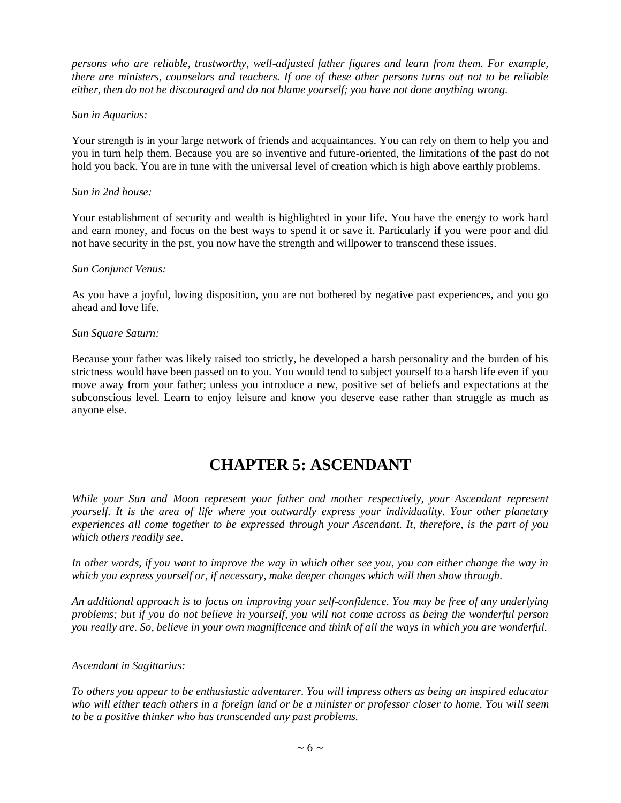*persons who are reliable, trustworthy, well-adjusted father figures and learn from them. For example, there are ministers, counselors and teachers. If one of these other persons turns out not to be reliable either, then do not be discouraged and do not blame yourself; you have not done anything wrong.*

### *Sun in Aquarius:*

Your strength is in your large network of friends and acquaintances. You can rely on them to help you and you in turn help them. Because you are so inventive and future-oriented, the limitations of the past do not hold you back. You are in tune with the universal level of creation which is high above earthly problems.

### *Sun in 2nd house:*

Your establishment of security and wealth is highlighted in your life. You have the energy to work hard and earn money, and focus on the best ways to spend it or save it. Particularly if you were poor and did not have security in the pst, you now have the strength and willpower to transcend these issues.

## *Sun Conjunct Venus:*

As you have a joyful, loving disposition, you are not bothered by negative past experiences, and you go ahead and love life.

## *Sun Square Saturn:*

Because your father was likely raised too strictly, he developed a harsh personality and the burden of his strictness would have been passed on to you. You would tend to subject yourself to a harsh life even if you move away from your father; unless you introduce a new, positive set of beliefs and expectations at the subconscious level. Learn to enjoy leisure and know you deserve ease rather than struggle as much as anyone else.

# **CHAPTER 5: ASCENDANT**

*While your Sun and Moon represent your father and mother respectively, your Ascendant represent yourself. It is the area of life where you outwardly express your individuality. Your other planetary experiences all come together to be expressed through your Ascendant. It, therefore, is the part of you which others readily see.*

*In other words, if you want to improve the way in which other see you, you can either change the way in which you express yourself or, if necessary, make deeper changes which will then show through.*

*An additional approach is to focus on improving your self-confidence. You may be free of any underlying problems; but if you do not believe in yourself, you will not come across as being the wonderful person you really are. So, believe in your own magnificence and think of all the ways in which you are wonderful.*

### *Ascendant in Sagittarius:*

*To others you appear to be enthusiastic adventurer. You will impress others as being an inspired educator who will either teach others in a foreign land or be a minister or professor closer to home. You will seem to be a positive thinker who has transcended any past problems.*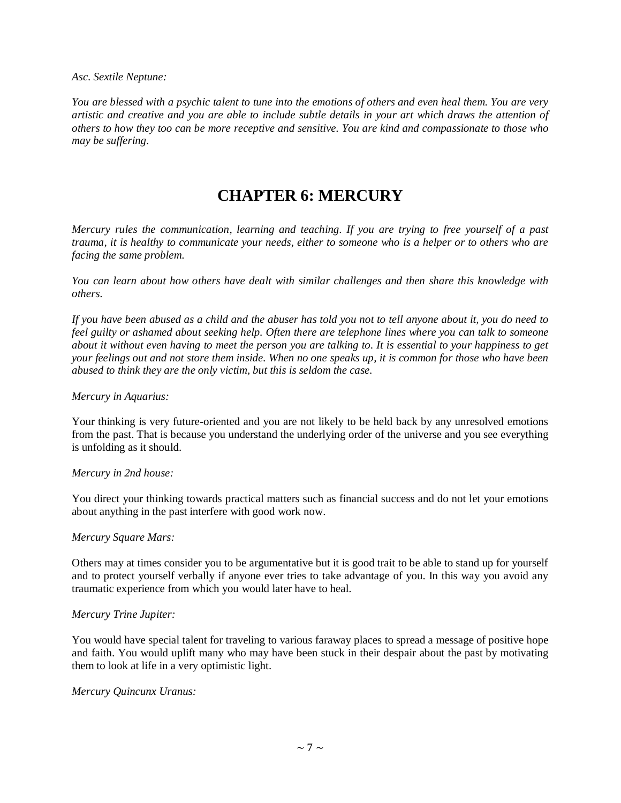*Asc. Sextile Neptune:*

*You are blessed with a psychic talent to tune into the emotions of others and even heal them. You are very artistic and creative and you are able to include subtle details in your art which draws the attention of others to how they too can be more receptive and sensitive. You are kind and compassionate to those who may be suffering.*

## **CHAPTER 6: MERCURY**

*Mercury rules the communication, learning and teaching. If you are trying to free yourself of a past trauma, it is healthy to communicate your needs, either to someone who is a helper or to others who are facing the same problem.*

*You can learn about how others have dealt with similar challenges and then share this knowledge with others.*

*If you have been abused as a child and the abuser has told you not to tell anyone about it, you do need to feel guilty or ashamed about seeking help. Often there are telephone lines where you can talk to someone about it without even having to meet the person you are talking to. It is essential to your happiness to get your feelings out and not store them inside. When no one speaks up, it is common for those who have been abused to think they are the only victim, but this is seldom the case.*

#### *Mercury in Aquarius:*

Your thinking is very future-oriented and you are not likely to be held back by any unresolved emotions from the past. That is because you understand the underlying order of the universe and you see everything is unfolding as it should.

#### *Mercury in 2nd house:*

You direct your thinking towards practical matters such as financial success and do not let your emotions about anything in the past interfere with good work now.

#### *Mercury Square Mars:*

Others may at times consider you to be argumentative but it is good trait to be able to stand up for yourself and to protect yourself verbally if anyone ever tries to take advantage of you. In this way you avoid any traumatic experience from which you would later have to heal.

### *Mercury Trine Jupiter:*

You would have special talent for traveling to various faraway places to spread a message of positive hope and faith. You would uplift many who may have been stuck in their despair about the past by motivating them to look at life in a very optimistic light.

### *Mercury Quincunx Uranus:*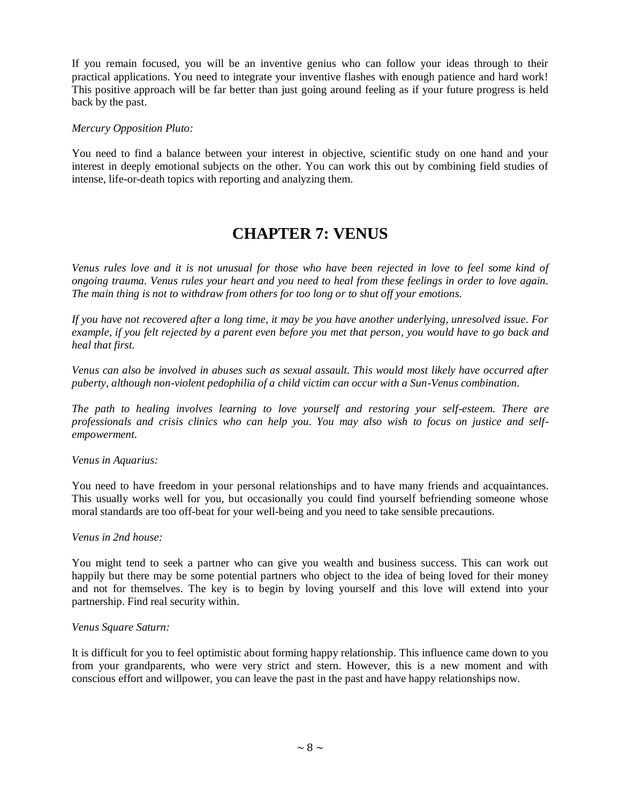If you remain focused, you will be an inventive genius who can follow your ideas through to their practical applications. You need to integrate your inventive flashes with enough patience and hard work! This positive approach will be far better than just going around feeling as if your future progress is held back by the past.

### *Mercury Opposition Pluto:*

You need to find a balance between your interest in objective, scientific study on one hand and your interest in deeply emotional subjects on the other. You can work this out by combining field studies of intense, life-or-death topics with reporting and analyzing them.

## **CHAPTER 7: VENUS**

*Venus rules love and it is not unusual for those who have been rejected in love to feel some kind of ongoing trauma. Venus rules your heart and you need to heal from these feelings in order to love again. The main thing is not to withdraw from others for too long or to shut off your emotions.*

*If you have not recovered after a long time, it may be you have another underlying, unresolved issue. For example, if you felt rejected by a parent even before you met that person, you would have to go back and heal that first.*

*Venus can also be involved in abuses such as sexual assault. This would most likely have occurred after puberty, although non-violent pedophilia of a child victim can occur with a Sun-Venus combination.*

*The path to healing involves learning to love yourself and restoring your self-esteem. There are professionals and crisis clinics who can help you. You may also wish to focus on justice and selfempowerment.*

*Venus in Aquarius:*

You need to have freedom in your personal relationships and to have many friends and acquaintances. This usually works well for you, but occasionally you could find yourself befriending someone whose moral standards are too off-beat for your well-being and you need to take sensible precautions.

### *Venus in 2nd house:*

You might tend to seek a partner who can give you wealth and business success. This can work out happily but there may be some potential partners who object to the idea of being loved for their money and not for themselves. The key is to begin by loving yourself and this love will extend into your partnership. Find real security within.

### *Venus Square Saturn:*

It is difficult for you to feel optimistic about forming happy relationship. This influence came down to you from your grandparents, who were very strict and stern. However, this is a new moment and with conscious effort and willpower, you can leave the past in the past and have happy relationships now.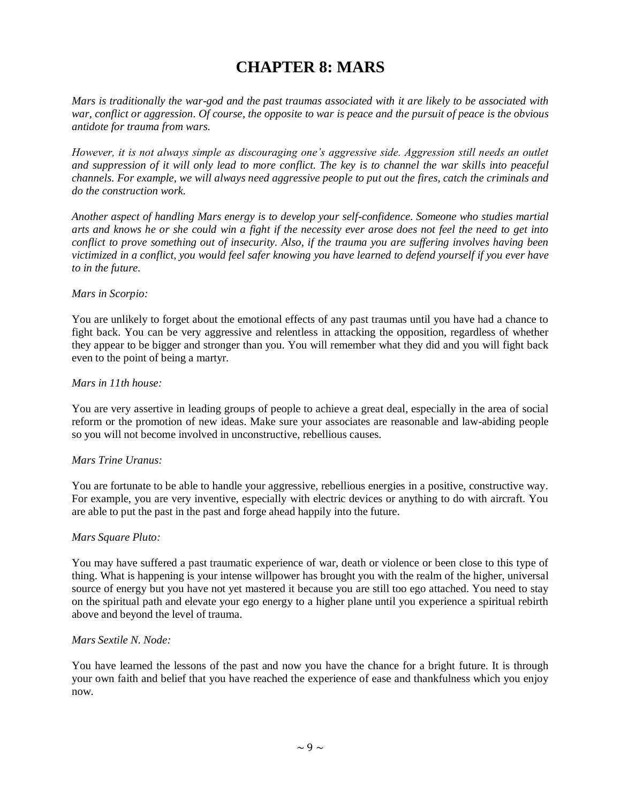# **CHAPTER 8: MARS**

*Mars is traditionally the war-god and the past traumas associated with it are likely to be associated with war, conflict or aggression. Of course, the opposite to war is peace and the pursuit of peace is the obvious antidote for trauma from wars.*

*However, it is not always simple as discouraging one's aggressive side. Aggression still needs an outlet and suppression of it will only lead to more conflict. The key is to channel the war skills into peaceful channels. For example, we will always need aggressive people to put out the fires, catch the criminals and do the construction work.*

*Another aspect of handling Mars energy is to develop your self-confidence. Someone who studies martial arts and knows he or she could win a fight if the necessity ever arose does not feel the need to get into conflict to prove something out of insecurity. Also, if the trauma you are suffering involves having been victimized in a conflict, you would feel safer knowing you have learned to defend yourself if you ever have to in the future.*

#### *Mars in Scorpio:*

You are unlikely to forget about the emotional effects of any past traumas until you have had a chance to fight back. You can be very aggressive and relentless in attacking the opposition, regardless of whether they appear to be bigger and stronger than you. You will remember what they did and you will fight back even to the point of being a martyr.

#### *Mars in 11th house:*

You are very assertive in leading groups of people to achieve a great deal, especially in the area of social reform or the promotion of new ideas. Make sure your associates are reasonable and law-abiding people so you will not become involved in unconstructive, rebellious causes.

### *Mars Trine Uranus:*

You are fortunate to be able to handle your aggressive, rebellious energies in a positive, constructive way. For example, you are very inventive, especially with electric devices or anything to do with aircraft. You are able to put the past in the past and forge ahead happily into the future.

#### *Mars Square Pluto:*

You may have suffered a past traumatic experience of war, death or violence or been close to this type of thing. What is happening is your intense willpower has brought you with the realm of the higher, universal source of energy but you have not yet mastered it because you are still too ego attached. You need to stay on the spiritual path and elevate your ego energy to a higher plane until you experience a spiritual rebirth above and beyond the level of trauma.

#### *Mars Sextile N. Node:*

You have learned the lessons of the past and now you have the chance for a bright future. It is through your own faith and belief that you have reached the experience of ease and thankfulness which you enjoy now.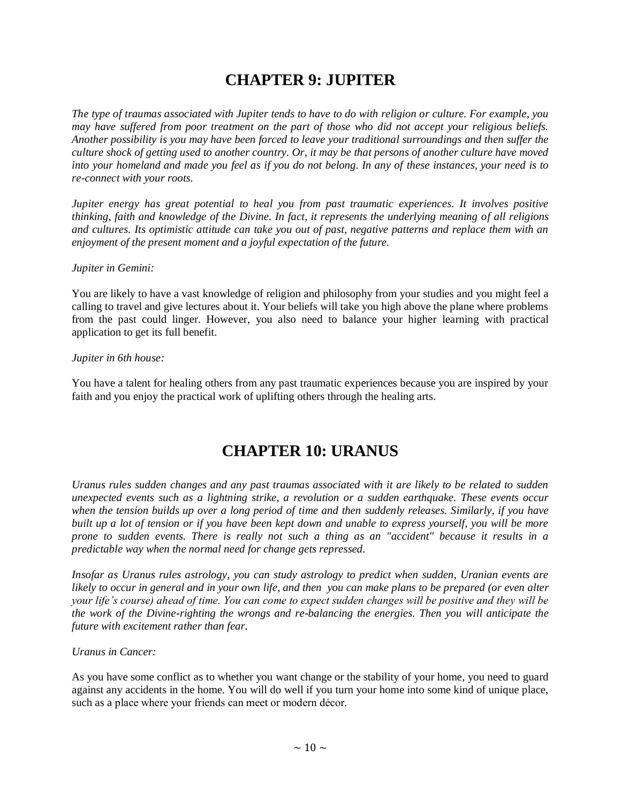# **CHAPTER 9: JUPITER**

*The type of traumas associated with Jupiter tends to have to do with religion or culture. For example, you may have suffered from poor treatment on the part of those who did not accept your religious beliefs. Another possibility is you may have been forced to leave your traditional surroundings and then suffer the culture shock of getting used to another country. Or, it may be that persons of another culture have moved into your homeland and made you feel as if you do not belong. In any of these instances, your need is to re-connect with your roots.*

*Jupiter energy has great potential to heal you from past traumatic experiences. It involves positive thinking, faith and knowledge of the Divine. In fact, it represents the underlying meaning of all religions and cultures. Its optimistic attitude can take you out of past, negative patterns and replace them with an enjoyment of the present moment and a joyful expectation of the future.*

### *Jupiter in Gemini:*

You are likely to have a vast knowledge of religion and philosophy from your studies and you might feel a calling to travel and give lectures about it. Your beliefs will take you high above the plane where problems from the past could linger. However, you also need to balance your higher learning with practical application to get its full benefit.

## *Jupiter in 6th house:*

You have a talent for healing others from any past traumatic experiences because you are inspired by your faith and you enjoy the practical work of uplifting others through the healing arts.

## **CHAPTER 10: URANUS**

*Uranus rules sudden changes and any past traumas associated with it are likely to be related to sudden unexpected events such as a lightning strike, a revolution or a sudden earthquake. These events occur when the tension builds up over a long period of time and then suddenly releases. Similarly, if you have built up a lot of tension or if you have been kept down and unable to express yourself, you will be more prone to sudden events. There is really not such a thing as an "accident" because it results in a predictable way when the normal need for change gets repressed.*

*Insofar as Uranus rules astrology, you can study astrology to predict when sudden, Uranian events are likely to occur in general and in your own life, and then you can make plans to be prepared (or even alter your life's course) ahead of time. You can come to expect sudden changes will be positive and they will be the work of the Divine-righting the wrongs and re-balancing the energies. Then you will anticipate the future with excitement rather than fear.*

## *Uranus in Cancer:*

As you have some conflict as to whether you want change or the stability of your home, you need to guard against any accidents in the home. You will do well if you turn your home into some kind of unique place, such as a place where your friends can meet or modern décor.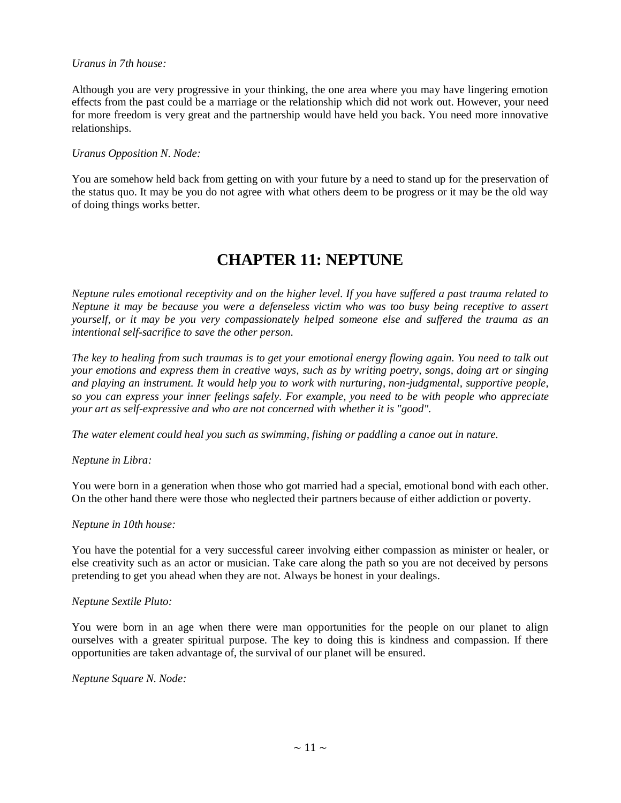#### *Uranus in 7th house:*

Although you are very progressive in your thinking, the one area where you may have lingering emotion effects from the past could be a marriage or the relationship which did not work out. However, your need for more freedom is very great and the partnership would have held you back. You need more innovative relationships.

#### *Uranus Opposition N. Node:*

You are somehow held back from getting on with your future by a need to stand up for the preservation of the status quo. It may be you do not agree with what others deem to be progress or it may be the old way of doing things works better.

## **CHAPTER 11: NEPTUNE**

*Neptune rules emotional receptivity and on the higher level. If you have suffered a past trauma related to Neptune it may be because you were a defenseless victim who was too busy being receptive to assert yourself, or it may be you very compassionately helped someone else and suffered the trauma as an intentional self-sacrifice to save the other person.*

*The key to healing from such traumas is to get your emotional energy flowing again. You need to talk out your emotions and express them in creative ways, such as by writing poetry, songs, doing art or singing and playing an instrument. It would help you to work with nurturing, non-judgmental, supportive people, so you can express your inner feelings safely. For example, you need to be with people who appreciate your art as self-expressive and who are not concerned with whether it is "good".*

*The water element could heal you such as swimming, fishing or paddling a canoe out in nature.*

### *Neptune in Libra:*

You were born in a generation when those who got married had a special, emotional bond with each other. On the other hand there were those who neglected their partners because of either addiction or poverty.

#### *Neptune in 10th house:*

You have the potential for a very successful career involving either compassion as minister or healer, or else creativity such as an actor or musician. Take care along the path so you are not deceived by persons pretending to get you ahead when they are not. Always be honest in your dealings.

#### *Neptune Sextile Pluto:*

You were born in an age when there were man opportunities for the people on our planet to align ourselves with a greater spiritual purpose. The key to doing this is kindness and compassion. If there opportunities are taken advantage of, the survival of our planet will be ensured.

#### *Neptune Square N. Node:*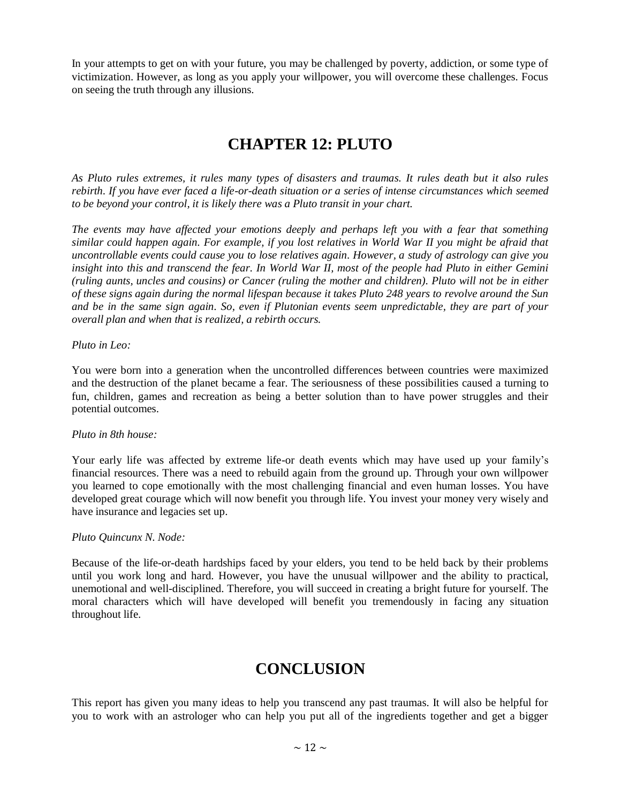In your attempts to get on with your future, you may be challenged by poverty, addiction, or some type of victimization. However, as long as you apply your willpower, you will overcome these challenges. Focus on seeing the truth through any illusions.

## **CHAPTER 12: PLUTO**

*As Pluto rules extremes, it rules many types of disasters and traumas. It rules death but it also rules rebirth. If you have ever faced a life-or-death situation or a series of intense circumstances which seemed to be beyond your control, it is likely there was a Pluto transit in your chart.*

*The events may have affected your emotions deeply and perhaps left you with a fear that something similar could happen again. For example, if you lost relatives in World War II you might be afraid that uncontrollable events could cause you to lose relatives again. However, a study of astrology can give you insight into this and transcend the fear. In World War II, most of the people had Pluto in either Gemini (ruling aunts, uncles and cousins) or Cancer (ruling the mother and children). Pluto will not be in either of these signs again during the normal lifespan because it takes Pluto 248 years to revolve around the Sun and be in the same sign again. So, even if Plutonian events seem unpredictable, they are part of your overall plan and when that is realized, a rebirth occurs.*

#### *Pluto in Leo:*

You were born into a generation when the uncontrolled differences between countries were maximized and the destruction of the planet became a fear. The seriousness of these possibilities caused a turning to fun, children, games and recreation as being a better solution than to have power struggles and their potential outcomes.

### *Pluto in 8th house:*

Your early life was affected by extreme life-or death events which may have used up your family's financial resources. There was a need to rebuild again from the ground up. Through your own willpower you learned to cope emotionally with the most challenging financial and even human losses. You have developed great courage which will now benefit you through life. You invest your money very wisely and have insurance and legacies set up.

#### *Pluto Quincunx N. Node:*

Because of the life-or-death hardships faced by your elders, you tend to be held back by their problems until you work long and hard. However, you have the unusual willpower and the ability to practical, unemotional and well-disciplined. Therefore, you will succeed in creating a bright future for yourself. The moral characters which will have developed will benefit you tremendously in facing any situation throughout life.

## **CONCLUSION**

This report has given you many ideas to help you transcend any past traumas. It will also be helpful for you to work with an astrologer who can help you put all of the ingredients together and get a bigger